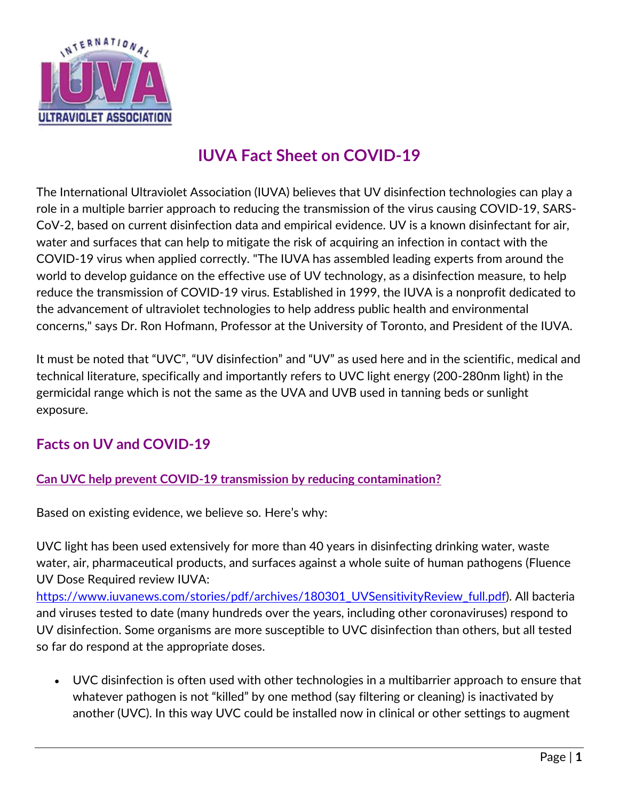

# **IUVA Fact Sheet on COVID-19**

The International Ultraviolet Association (IUVA) believes that UV disinfection technologies can play a role in a multiple barrier approach to reducing the transmission of the virus causing COVID-19, SARS-CoV-2, based on current disinfection data and empirical evidence. UV is a known disinfectant for air, water and surfaces that can help to mitigate the risk of acquiring an infection in contact with the COVID-19 virus when applied correctly. "The IUVA has assembled leading experts from around the world to develop guidance on the effective use of UV technology, as a disinfection measure, to help reduce the transmission of COVID-19 virus. Established in 1999, the IUVA is a nonprofit dedicated to the advancement of ultraviolet technologies to help address public health and environmental concerns," says Dr. Ron Hofmann, Professor at the University of Toronto, and President of the IUVA.

It must be noted that "UVC", "UV disinfection" and "UV" as used here and in the scientific, medical and technical literature, specifically and importantly refers to UVC light energy (200-280nm light) in the germicidal range which is not the same as the UVA and UVB used in tanning beds or sunlight exposure.

## **Facts on UV and COVID-19**

### **Can UVC help prevent COVID-19 transmission by reducing contamination?**

Based on existing evidence, we believe so. Here's why:

UVC light has been used extensively for more than 40 years in disinfecting drinking water, waste water, air, pharmaceutical products, and surfaces against a whole suite of human pathogens (Fluence UV Dose Required review IUVA:

[https://www.iuvanews.com/stories/pdf/archives/180301\\_UVSensitivityReview\\_full.pdf\)](https://www.iuvanews.com/stories/pdf/archives/180301_UVSensitivityReview_full.pdf). All bacteria and viruses tested to date (many hundreds over the years, including other coronaviruses) respond to UV disinfection. Some organisms are more susceptible to UVC disinfection than others, but all tested so far do respond at the appropriate doses.

• UVC disinfection is often used with other technologies in a multibarrier approach to ensure that whatever pathogen is not "killed" by one method (say filtering or cleaning) is inactivated by another (UVC). In this way UVC could be installed now in clinical or other settings to augment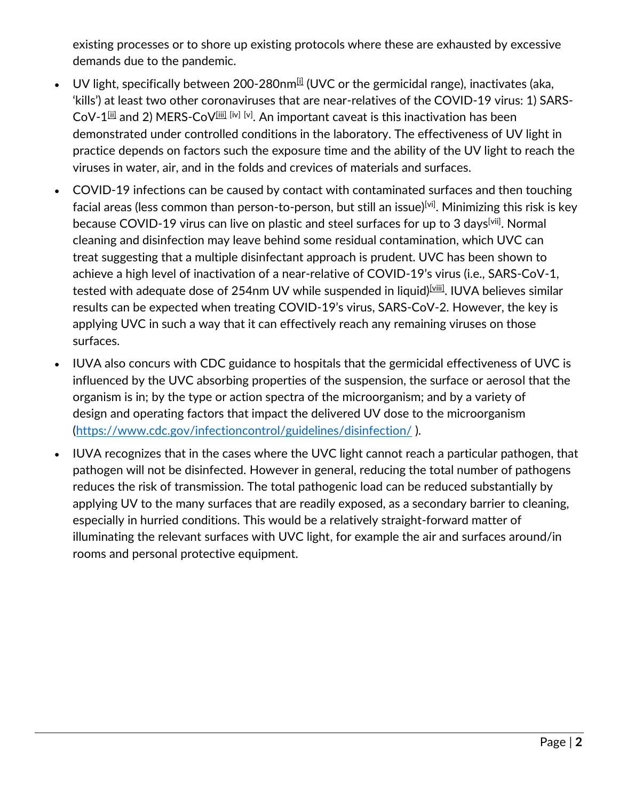existing processes or to shore up existing protocols where these are exhausted by excessive demands due to the pandemic.

- UV light, specifically between 200-280nm $\mathbb{H}$  (UVC or the germicidal range), inactivates (aka, 'kills') at least two other coronaviruses that are near-relatives of the COVID-19 virus: 1) SARS-CoV-1 $^{\rm [iii]}$  and 2) MERS-CoV $^{\rm [iii]}$  [iv] [v]. An important caveat is this inactivation has been demonstrated under controlled conditions in the laboratory. The effectiveness of UV light in practice depends on factors such the exposure time and the ability of the UV light to reach the viruses in water, air, and in the folds and crevices of materials and surfaces.
- COVID-19 infections can be caused by contact with contaminated surfaces and then touching facial areas (less common than person-to-person, but still an issue)<sup>[\[vi\]](x-webdoc://DE18E857-3EC0-4071-906B-C0EE1FC5EA0B/#_edn6)</sup>. Minimizing this risk is key because COVID-19 virus can live on plastic and steel surfaces for up to 3 days<sup>[\[vii\]](x-webdoc://DE18E857-3EC0-4071-906B-C0EE1FC5EA0B/#_edn7)</sup>. Normal cleaning and disinfection may leave behind some residual contamination, which UVC can treat suggesting that a multiple disinfectant approach is prudent. UVC has been shown to achieve a high level of inactivation of a near-relative of COVID-19's virus (i.e., SARS-CoV-1, tested with adequate dose of 254nm UV while suspended in liquid)<sup>[viii]</sup>. IUVA believes similar results can be expected when treating COVID-19's virus, SARS-CoV-2. However, the key is applying UVC in such a way that it can effectively reach any remaining viruses on those surfaces.
- IUVA also concurs with CDC guidance to hospitals that the germicidal effectiveness of UVC is influenced by the UVC absorbing properties of the suspension, the surface or aerosol that the organism is in; by the type or action spectra of the microorganism; and by a variety of design and operating factors that impact the delivered UV dose to the microorganism [\(https://www.cdc.gov/infectioncontrol/guidelines/disinfection/](https://nam12.safelinks.protection.outlook.com/?url=https%3A%2F%2Furldefense.proofpoint.com%2Fv2%2Furl%3Fu%3Dhttps-3A__www.cdc.gov_infectioncontrol_guidelines_disinfection_%26d%3DDwQFAg%26c%3Dc6MrceVCY5m5A_KAUkrdoA%26r%3DFacmT-q8w59bOXY2Z0rGdeA1p4ST3qMV13Ow7EEAWa0%26m%3DxpnXwZ8x682dhzEvkRUUUPdsi7lr1BsRyjCQDnxIBXc%26s%3D2JWkpU4ASfGvOe4Zp-RCZ5etBtlMy-8zO6ZyxCtJlEA%26e%3D&data=02%7C01%7CJim.Malley%40unh.edu%7Ce4cd2db2155445bb4d7308d7d1ba09e5%7Cd6241893512d46dc8d2bbe47e25f5666%7C0%7C0%7C637208469270769124&sdata=Zoe76Vxi%2Fzc%2FQfzdYqCNhnPXf55JPN5ZMeILEaIghbY%3D&reserved=0) ).
- IUVA recognizes that in the cases where the UVC light cannot reach a particular pathogen, that pathogen will not be disinfected. However in general, reducing the total number of pathogens reduces the risk of transmission. The total pathogenic load can be reduced substantially by applying UV to the many surfaces that are readily exposed, as a secondary barrier to cleaning, especially in hurried conditions. This would be a relatively straight-forward matter of illuminating the relevant surfaces with UVC light, for example the air and surfaces around/in rooms and personal protective equipment.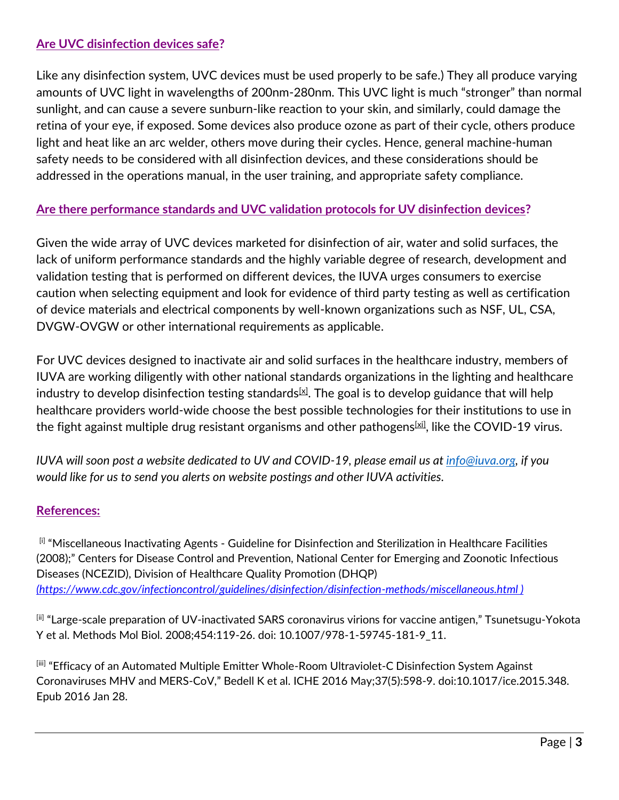#### **Are UVC disinfection devices safe?**

Like any disinfection system, UVC devices must be used properly to be safe.) They all produce varying amounts of UVC light in wavelengths of 200nm-280nm. This UVC light is much "stronger" than normal sunlight, and can cause a severe sunburn-like reaction to your skin, and similarly, could damage the retina of your eye, if exposed. Some devices also produce ozone as part of their cycle, others produce light and heat like an arc welder, others move during their cycles. Hence, general machine-human safety needs to be considered with all disinfection devices, and these considerations should be addressed in the operations manual, in the user training, and appropriate safety compliance.

#### **Are there performance standards and UVC validation protocols for UV disinfection devices?**

Given the wide array of UVC devices marketed for disinfection of air, water and solid surfaces, the lack of uniform performance standards and the highly variable degree of research, development and validation testing that is performed on different devices, the IUVA urges consumers to exercise caution when selecting equipment and look for evidence of third party testing as well as certification of device materials and electrical components by well-known organizations such as NSF, UL, CSA, DVGW-OVGW or other international requirements as applicable.

For UVC devices designed to inactivate air and solid surfaces in the healthcare industry, members of IUVA are working diligently with other national standards organizations in the lighting and healthcare industry to develop disinfection testing standards $^{[\underline{x}]}$ . The goal is to develop guidance that will help healthcare providers world-wide choose the best possible technologies for their institutions to use in the fight against multiple drug resistant organisms and other pathogens $^{[\chi\chi]}$ , like the COVID-19 virus.

*IUVA will soon post a website dedicated to UV and COVID-19, please email us at [info@iuva.org,](mailto:info@iuva.org) if you would like for us to send you alerts on website postings and other IUVA activities.*

#### **References:**

[i] "Miscellaneous Inactivating Agents - Guideline for Disinfection and Sterilization in Healthcare Facilities (2008);" Centers for Disease Control and Prevention, National Center for Emerging and Zoonotic Infectious Diseases (NCEZID), Division of Healthcare Quality Promotion (DHQP) *[\(https://www.cdc.gov/infectioncontrol/guidelines/disinfection/disinfection-methods/miscellaneous.html](https://nam12.safelinks.protection.outlook.com/?url=https%3A%2F%2Furldefense.proofpoint.com%2Fv2%2Furl%3Fu%3Dhttps-3A__www.cdc.gov_infectioncontrol_guidelines_disinfection_disinfection-2Dmethods_miscellaneous.html%26d%3DDwMFAg%26c%3Dc6MrceVCY5m5A_KAUkrdoA%26r%3DFacmT-q8w59bOXY2Z0rGdeA1p4ST3qMV13Ow7EEAWa0%26m%3DxpnXwZ8x682dhzEvkRUUUPdsi7lr1BsRyjCQDnxIBXc%26s%3DcTymgKitbtBcV5SOdYU-VghB6HkxP_nh2T5aQLmCidQ%26e%3D&data=02%7C01%7CJim.Malley%40unh.edu%7Ce4cd2db2155445bb4d7308d7d1ba09e5%7Cd6241893512d46dc8d2bbe47e25f5666%7C0%7C0%7C637208469270779122&sdata=%2BPnEfhL%2B%2BaF0IGylFNMY0LLNaXp8jQ2bD4c%2F8E7Onyk%3D&reserved=0) )*

[ii] "Large-scale preparation of UV-inactivated SARS coronavirus virions for vaccine antigen," Tsunetsugu-Yokota Y et al. Methods Mol Biol. 2008;454:119-26. doi: 10.1007/978-1-59745-181-9\_11.

[iii] "Efficacy of an Automated Multiple Emitter Whole-Room Ultraviolet-C Disinfection System Against Coronaviruses MHV and MERS-CoV," Bedell K et al. ICHE 2016 May;37(5):598-9. doi:10.1017/ice.2015.348. Epub 2016 Jan 28.